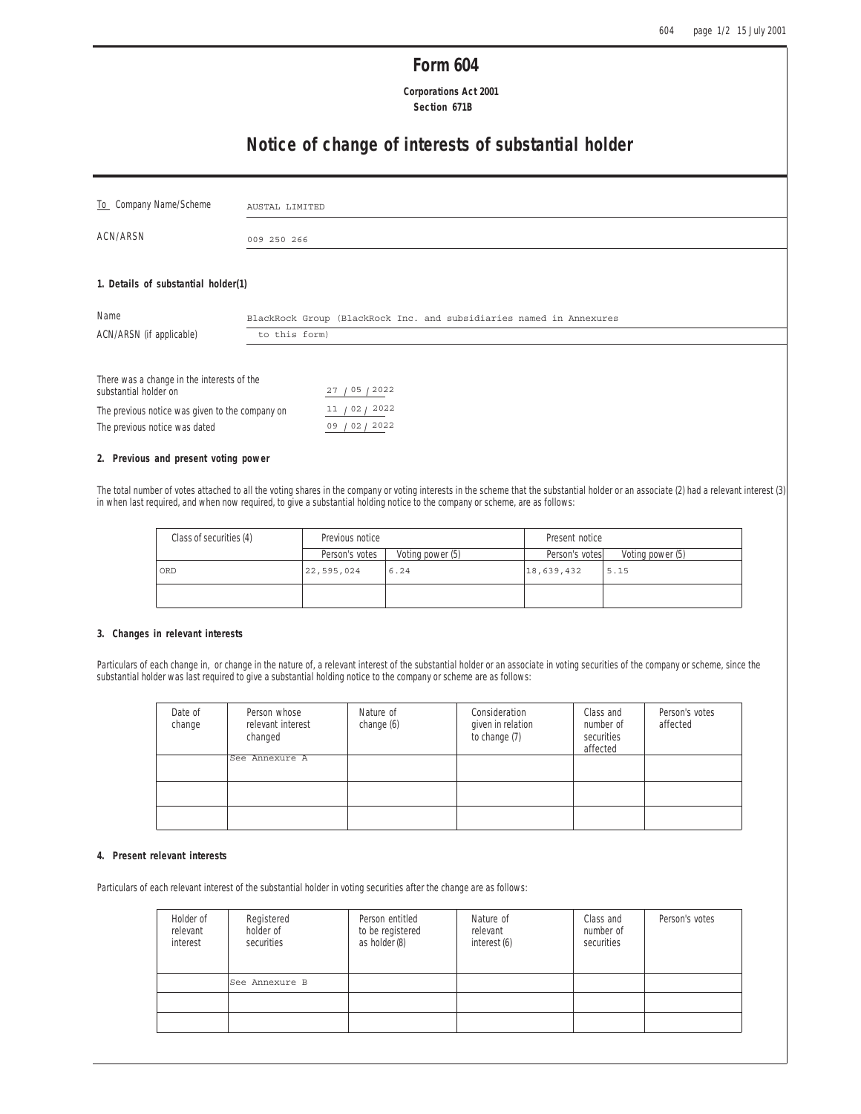## **Form 604**

 **Corporations Act 2001 Section 671B**

# **Notice of change of interests of substantial holder**

| To Company Name/Scheme                                              | AUSTAL LIMITED                                                      |
|---------------------------------------------------------------------|---------------------------------------------------------------------|
| ACN/ARSN                                                            | 009 250 266                                                         |
| 1. Details of substantial holder(1)                                 |                                                                     |
| Name                                                                | BlackRock Group (BlackRock Inc. and subsidiaries named in Annexures |
| ACN/ARSN (if applicable)                                            | to this form)                                                       |
| There was a change in the interests of the<br>substantial holder on | 27 / 05 / 2022                                                      |

# **2. Previous and present voting power**

The previous notice was dated

The previous notice was given to the company on

The total number of votes attached to all the voting shares in the company or voting interests in the scheme that the substantial holder or an associate (2) had a relevant interest (3) in when last required, and when now required, to give a substantial holding notice to the company or scheme, are as follows:

 $11 / 02 / 2022$ 09 02 2022

| Class of securities (4) | Previous notice |                  | Present notice |                  |
|-------------------------|-----------------|------------------|----------------|------------------|
|                         | Person's votes  | Voting power (5) | Person's votes | Voting power (5) |
| ORD                     | 22, 595, 024    | 6.24             | 18,639,432     | 5.15             |
|                         |                 |                  |                |                  |

### **3. Changes in relevant interests**

Particulars of each change in, or change in the nature of, a relevant interest of the substantial holder or an associate in voting securities of the company or scheme, since the substantial holder was last required to give a substantial holding notice to the company or scheme are as follows:

| Date of<br>change | Person whose<br>relevant interest<br>changed | Nature of<br>change (6) | Consideration<br>given in relation<br>to change (7) | Class and<br>number of<br>securities<br>affected | Person's votes<br>affected |
|-------------------|----------------------------------------------|-------------------------|-----------------------------------------------------|--------------------------------------------------|----------------------------|
|                   | See Annexure A                               |                         |                                                     |                                                  |                            |
|                   |                                              |                         |                                                     |                                                  |                            |
|                   |                                              |                         |                                                     |                                                  |                            |

#### **4. Present relevant interests**

Particulars of each relevant interest of the substantial holder in voting securities after the change are as follows:

| Holder of<br>relevant<br>interest | Registered<br>holder of<br>securities | Person entitled<br>to be registered<br>as holder (8) | Nature of<br>relevant<br>interest (6) | Class and<br>number of<br>securities | Person's votes |
|-----------------------------------|---------------------------------------|------------------------------------------------------|---------------------------------------|--------------------------------------|----------------|
|                                   | See Annexure B                        |                                                      |                                       |                                      |                |
|                                   |                                       |                                                      |                                       |                                      |                |
|                                   |                                       |                                                      |                                       |                                      |                |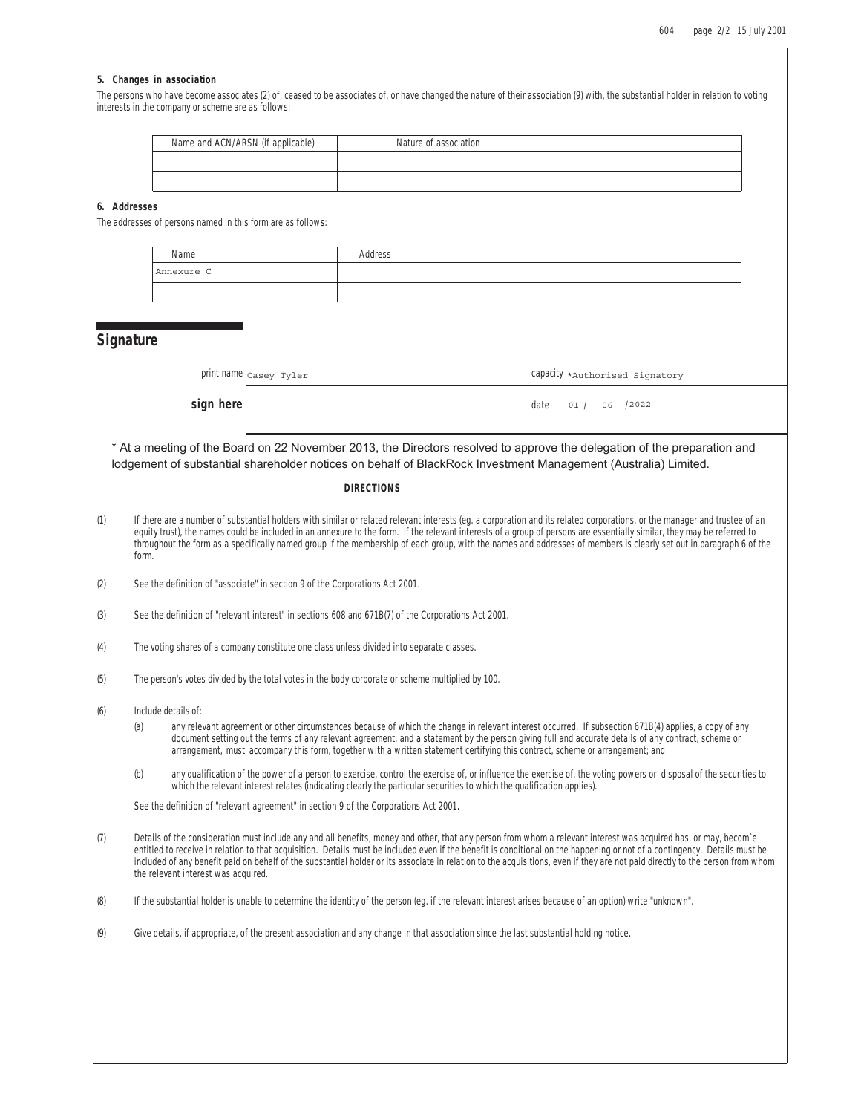#### **5. Changes in association**

The persons who have become associates (2) of, ceased to be associates of, or have changed the nature of their association (9) with, the substantial holder in relation to voting interests in the company or scheme are as follows:

| Name and ACN/ARSN (if applicable) | Nature of association |
|-----------------------------------|-----------------------|
|                                   |                       |
|                                   |                       |

### **6. Addresses**

The addresses of persons named in this form are as follows:

| Name       | Address |
|------------|---------|
| Annexure C |         |
|            |         |

## **Signature**

| print name casey Tyler | Capacity *Authorised Signatory |
|------------------------|--------------------------------|
|------------------------|--------------------------------|

### **sign here** date 01 / 06 /2022

\* At a meeting of the Board on 22 November 2013, the Directors resolved to approve the delegation of the preparation and lodgement of substantial shareholder notices on behalf of BlackRock Investment Management (Australia) Limited.

#### **DIRECTIONS**

- (1) If there are a number of substantial holders with similar or related relevant interests (eg. a corporation and its related corporations, or the manager and trustee of an equity trust), the names could be included in an annexure to the form. If the relevant interests of a group of persons are essentially similar, they may be referred to throughout the form as a specifically named group if the membership of each group, with the names and addresses of members is clearly set out in paragraph 6 of the form.
- (2) See the definition of "associate" in section 9 of the Corporations Act 2001.
- (3) See the definition of "relevant interest" in sections 608 and 671B(7) of the Corporations Act 2001.
- (4) The voting shares of a company constitute one class unless divided into separate classes.
- (5) The person's votes divided by the total votes in the body corporate or scheme multiplied by 100.
- (6) Include details of:
	- (a) any relevant agreement or other circumstances because of which the change in relevant interest occurred. If subsection 671B(4) applies, a copy of any document setting out the terms of any relevant agreement, and a statement by the person giving full and accurate details of any contract, scheme or arrangement, must accompany this form, together with a written statement certifying this contract, scheme or arrangement; and
	- (b) any qualification of the power of a person to exercise, control the exercise of, or influence the exercise of, the voting powers or disposal of the securities to which the relevant interest relates (indicating clearly the particular securities to which the qualification applies).

See the definition of "relevant agreement" in section 9 of the Corporations Act 2001.

- (7) Details of the consideration must include any and all benefits, money and other, that any person from whom a relevant interest was acquired has, or may, becom`e entitled to receive in relation to that acquisition. Details must be included even if the benefit is conditional on the happening or not of a contingency. Details must be included of any benefit paid on behalf of the substantial holder or its associate in relation to the acquisitions, even if they are not paid directly to the person from whom the relevant interest was acquired.
- (8) If the substantial holder is unable to determine the identity of the person (eg. if the relevant interest arises because of an option) write "unknown".
- (9) Give details, if appropriate, of the present association and any change in that association since the last substantial holding notice.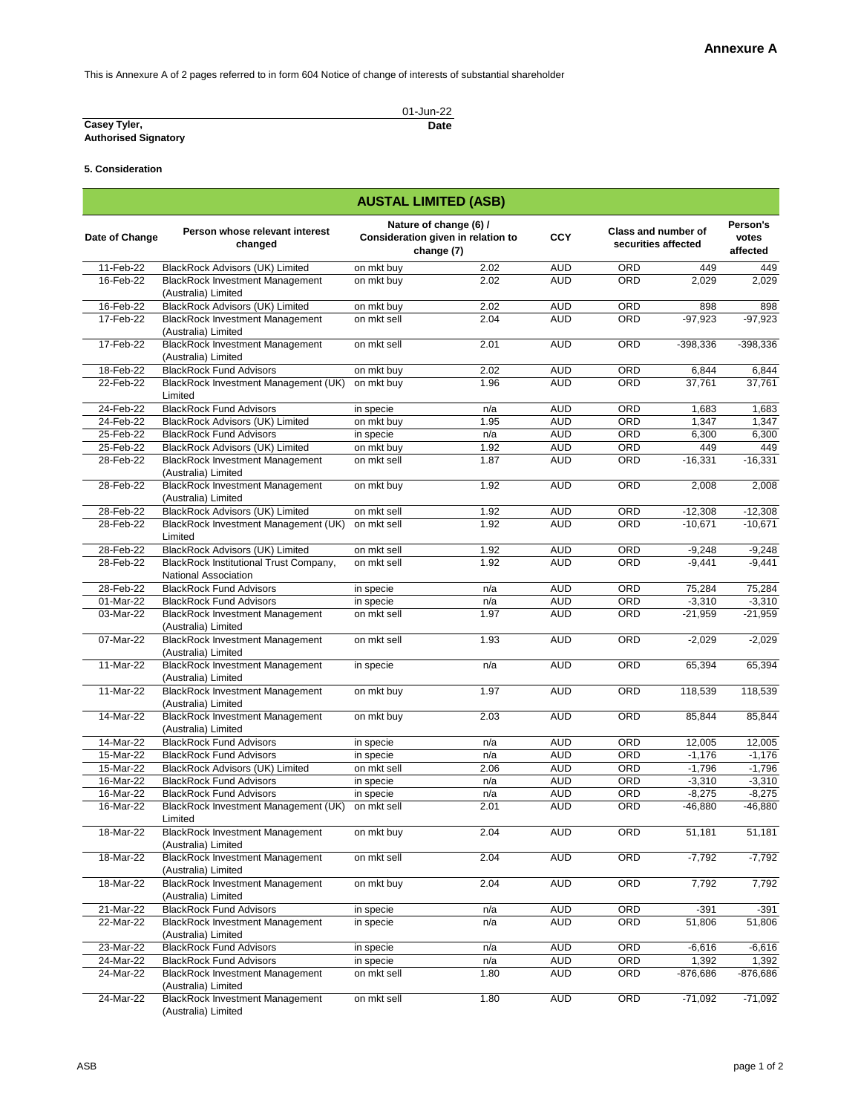This is Annexure A of 2 pages referred to in form 604 Notice of change of interests of substantial shareholder

|                             | 01-Jun-22 |
|-----------------------------|-----------|
| Casey Tyler,                | Date      |
| <b>Authorised Signatory</b> |           |

**5. Consideration**

| <b>AUSTAL LIMITED (ASB)</b> |                                                                       |             |                                                                            |            |                                                   |            |                               |  |  |
|-----------------------------|-----------------------------------------------------------------------|-------------|----------------------------------------------------------------------------|------------|---------------------------------------------------|------------|-------------------------------|--|--|
| Date of Change              | Person whose relevant interest<br>changed                             |             | Nature of change (6) /<br>Consideration given in relation to<br>change (7) | <b>CCY</b> | <b>Class and number of</b><br>securities affected |            | Person's<br>votes<br>affected |  |  |
| 11-Feb-22                   | <b>BlackRock Advisors (UK) Limited</b>                                | on mkt buy  | 2.02                                                                       | <b>AUD</b> | ORD                                               | 449        | 449                           |  |  |
| 16-Feb-22                   | <b>BlackRock Investment Management</b><br>(Australia) Limited         | on mkt buy  | 2.02                                                                       | <b>AUD</b> | ORD                                               | 2,029      | 2,029                         |  |  |
| 16-Feb-22                   | <b>BlackRock Advisors (UK) Limited</b>                                | on mkt buy  | 2.02                                                                       | <b>AUD</b> | ORD                                               | 898        | 898                           |  |  |
| 17-Feb-22                   | <b>BlackRock Investment Management</b><br>(Australia) Limited         | on mkt sell | 2.04                                                                       | <b>AUD</b> | ORD                                               | $-97,923$  | $-97,923$                     |  |  |
| 17-Feb-22                   | <b>BlackRock Investment Management</b><br>(Australia) Limited         | on mkt sell | 2.01                                                                       | <b>AUD</b> | ORD                                               | -398,336   | $-398,336$                    |  |  |
| 18-Feb-22                   | <b>BlackRock Fund Advisors</b>                                        | on mkt buy  | 2.02                                                                       | <b>AUD</b> | ORD                                               | 6,844      | 6,844                         |  |  |
| 22-Feb-22                   | BlackRock Investment Management (UK)<br>Limited                       | on mkt buy  | 1.96                                                                       | <b>AUD</b> | ORD                                               | 37,761     | 37,761                        |  |  |
| 24-Feb-22                   | <b>BlackRock Fund Advisors</b>                                        | in specie   | n/a                                                                        | <b>AUD</b> | ORD                                               | 1,683      | 1,683                         |  |  |
| 24-Feb-22                   | <b>BlackRock Advisors (UK) Limited</b>                                | on mkt buy  | 1.95                                                                       | <b>AUD</b> | ORD                                               | 1,347      | 1,347                         |  |  |
| 25-Feb-22                   | <b>BlackRock Fund Advisors</b>                                        | in specie   | n/a                                                                        | <b>AUD</b> | ORD                                               | 6,300      | 6,300                         |  |  |
| 25-Feb-22                   | <b>BlackRock Advisors (UK) Limited</b>                                | on mkt buy  | 1.92                                                                       | <b>AUD</b> | ORD                                               | 449        | 449                           |  |  |
| 28-Feb-22                   | <b>BlackRock Investment Management</b><br>(Australia) Limited         | on mkt sell | 1.87                                                                       | <b>AUD</b> | ORD                                               | $-16,331$  | $-16,331$                     |  |  |
| 28-Feb-22                   | <b>BlackRock Investment Management</b><br>(Australia) Limited         | on mkt buy  | 1.92                                                                       | <b>AUD</b> | ORD                                               | 2,008      | 2,008                         |  |  |
| 28-Feb-22                   | <b>BlackRock Advisors (UK) Limited</b>                                | on mkt sell | 1.92                                                                       | <b>AUD</b> | ORD                                               | $-12,308$  | $-12,308$                     |  |  |
| 28-Feb-22                   | BlackRock Investment Management (UK)<br>Limited                       | on mkt sell | 1.92                                                                       | <b>AUD</b> | ORD                                               | $-10,671$  | $-10,671$                     |  |  |
| 28-Feb-22                   | <b>BlackRock Advisors (UK) Limited</b>                                | on mkt sell | 1.92                                                                       | <b>AUD</b> | ORD                                               | $-9,248$   | $-9,248$                      |  |  |
| 28-Feb-22                   | BlackRock Institutional Trust Company,<br><b>National Association</b> | on mkt sell | 1.92                                                                       | <b>AUD</b> | ORD                                               | $-9,441$   | $-9,441$                      |  |  |
| 28-Feb-22                   | <b>BlackRock Fund Advisors</b>                                        | in specie   | n/a                                                                        | <b>AUD</b> | ORD                                               | 75,284     | 75,284                        |  |  |
| 01-Mar-22                   | <b>BlackRock Fund Advisors</b>                                        | in specie   | n/a                                                                        | <b>AUD</b> | ORD                                               | $-3,310$   | $-3,310$                      |  |  |
| 03-Mar-22                   | <b>BlackRock Investment Management</b><br>(Australia) Limited         | on mkt sell | 1.97                                                                       | <b>AUD</b> | <b>ORD</b>                                        | $-21,959$  | $-21,959$                     |  |  |
| 07-Mar-22                   | <b>BlackRock Investment Management</b><br>(Australia) Limited         | on mkt sell | 1.93                                                                       | <b>AUD</b> | ORD                                               | $-2,029$   | $-2,029$                      |  |  |
| 11-Mar-22                   | <b>BlackRock Investment Management</b><br>(Australia) Limited         | in specie   | n/a                                                                        | <b>AUD</b> | ORD                                               | 65,394     | 65,394                        |  |  |
| 11-Mar-22                   | <b>BlackRock Investment Management</b><br>(Australia) Limited         | on mkt buy  | 1.97                                                                       | <b>AUD</b> | ORD                                               | 118,539    | 118,539                       |  |  |
| 14-Mar-22                   | <b>BlackRock Investment Management</b><br>(Australia) Limited         | on mkt buy  | 2.03                                                                       | <b>AUD</b> | ORD                                               | 85,844     | 85,844                        |  |  |
| 14-Mar-22                   | <b>BlackRock Fund Advisors</b>                                        | in specie   | n/a                                                                        | <b>AUD</b> | ORD                                               | 12,005     | 12,005                        |  |  |
| 15-Mar-22                   | <b>BlackRock Fund Advisors</b>                                        | in specie   | n/a                                                                        | <b>AUD</b> | ORD                                               | $-1,176$   | $-1,176$                      |  |  |
| 15-Mar-22                   | <b>BlackRock Advisors (UK) Limited</b>                                | on mkt sell | 2.06                                                                       | <b>AUD</b> | ORD                                               | $-1,796$   | $-1,796$                      |  |  |
| 16-Mar-22                   | <b>BlackRock Fund Advisors</b>                                        | in specie   | n/a                                                                        | <b>AUD</b> | ORD                                               | $-3,310$   | $-3,310$                      |  |  |
| 16-Mar-22                   | <b>BlackRock Fund Advisors</b>                                        | in specie   | n/a                                                                        | <b>AUD</b> | ORD                                               | $-8,275$   | $-8,275$                      |  |  |
| 16-Mar-22                   | BlackRock Investment Management (UK)<br>Limited                       | on mkt sell | 2.01                                                                       | <b>AUD</b> | ORD                                               | $-46,880$  | $-46,880$                     |  |  |
| 18-Mar-22                   | <b>BlackRock Investment Management</b><br>(Australia) Limited         | on mkt buy  | 2.04                                                                       | <b>AUD</b> | ORD                                               | 51,181     | 51,181                        |  |  |
| $\overline{18}$ -Mar-22     | <b>BlackRock Investment Management</b><br>(Australia) Limited         | on mkt sell | 2.04                                                                       | <b>AUD</b> | ORD                                               | $-7,792$   | $-7,792$                      |  |  |
| 18-Mar-22                   | <b>BlackRock Investment Management</b><br>(Australia) Limited         | on mkt buy  | 2.04                                                                       | <b>AUD</b> | ORD                                               | 7,792      | 7,792                         |  |  |
| 21-Mar-22                   | <b>BlackRock Fund Advisors</b>                                        | in specie   | n/a                                                                        | <b>AUD</b> | ORD                                               | $-391$     | $-391$                        |  |  |
| 22-Mar-22                   | <b>BlackRock Investment Management</b><br>(Australia) Limited         | in specie   | n/a                                                                        | <b>AUD</b> | <b>ORD</b>                                        | 51,806     | 51,806                        |  |  |
| 23-Mar-22                   | <b>BlackRock Fund Advisors</b>                                        | in specie   | n/a                                                                        | <b>AUD</b> | ORD                                               | $-6,616$   | $-6,616$                      |  |  |
| 24-Mar-22                   | <b>BlackRock Fund Advisors</b>                                        | in specie   | n/a                                                                        | <b>AUD</b> | ORD                                               | 1,392      | 1,392                         |  |  |
| 24-Mar-22                   | <b>BlackRock Investment Management</b><br>(Australia) Limited         | on mkt sell | 1.80                                                                       | <b>AUD</b> | ORD                                               | $-876,686$ | -876,686                      |  |  |
| 24-Mar-22                   | <b>BlackRock Investment Management</b><br>(Australia) Limited         | on mkt sell | 1.80                                                                       | <b>AUD</b> | ORD                                               | $-71,092$  | $-71,092$                     |  |  |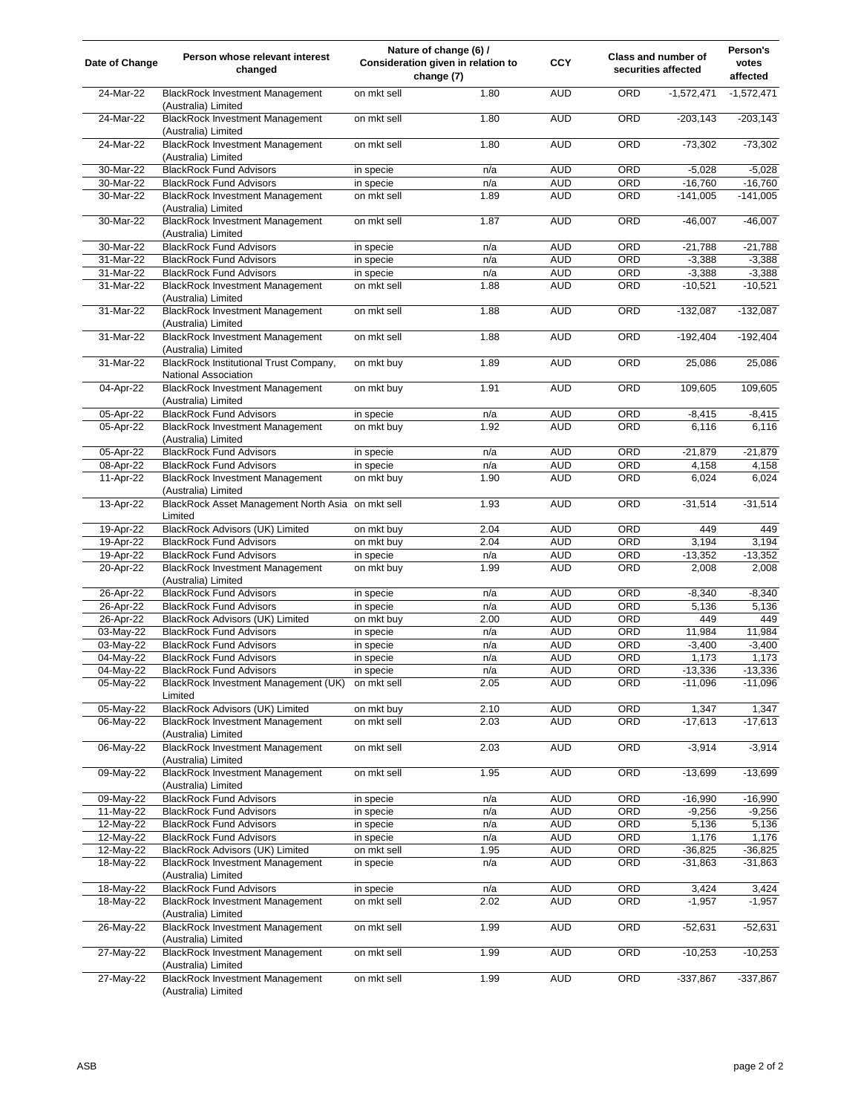| Date of Change         | Person whose relevant interest<br>changed                                                       |                         | Nature of change (6) /<br>Consideration given in relation to<br>change (7) | <b>CCY</b>               |            | <b>Class and number of</b><br>securities affected | Person's<br>votes<br>affected |
|------------------------|-------------------------------------------------------------------------------------------------|-------------------------|----------------------------------------------------------------------------|--------------------------|------------|---------------------------------------------------|-------------------------------|
| 24-Mar-22              | <b>BlackRock Investment Management</b><br>(Australia) Limited                                   | on mkt sell             | 1.80                                                                       | <b>AUD</b>               | ORD        | $-1,572,471$                                      | $-1,572,471$                  |
| 24-Mar-22              | <b>BlackRock Investment Management</b><br>(Australia) Limited                                   | on mkt sell             | 1.80                                                                       | <b>AUD</b>               | ORD        | $-203,143$                                        | $-203,143$                    |
| 24-Mar-22              | <b>BlackRock Investment Management</b><br>(Australia) Limited                                   | on mkt sell             | 1.80                                                                       | <b>AUD</b>               | ORD        | $-73,302$                                         | $-73,302$                     |
| 30-Mar-22              | <b>BlackRock Fund Advisors</b>                                                                  | in specie               | n/a                                                                        | <b>AUD</b>               | ORD        | $-5,028$                                          | $-5,028$                      |
| 30-Mar-22              | <b>BlackRock Fund Advisors</b>                                                                  | in specie               | n/a                                                                        | <b>AUD</b>               | ORD        | $-16,760$                                         | $-16,760$                     |
| 30-Mar-22              | <b>BlackRock Investment Management</b><br>(Australia) Limited                                   | on mkt sell             | 1.89                                                                       | <b>AUD</b>               | ORD        | $-141,005$                                        | $-141,005$                    |
| 30-Mar-22              | <b>BlackRock Investment Management</b><br>(Australia) Limited                                   | on mkt sell             | 1.87                                                                       | <b>AUD</b>               | ORD        | $-46,007$                                         | $-46,007$                     |
| 30-Mar-22              | <b>BlackRock Fund Advisors</b>                                                                  | in specie               | n/a                                                                        | <b>AUD</b>               | ORD        | $-21,788$                                         | $-21,788$                     |
| 31-Mar-22              | <b>BlackRock Fund Advisors</b>                                                                  | in specie               | n/a                                                                        | <b>AUD</b>               | ORD        | $-3,388$                                          | $-3,388$                      |
| 31-Mar-22              | <b>BlackRock Fund Advisors</b>                                                                  | in specie               | n/a                                                                        | <b>AUD</b>               | ORD        | $-3,388$                                          | $-3,388$                      |
| 31-Mar-22              | <b>BlackRock Investment Management</b><br>(Australia) Limited                                   | on mkt sell             | 1.88                                                                       | <b>AUD</b>               | ORD        | $-10,521$                                         | $-10,521$                     |
| 31-Mar-22              | <b>BlackRock Investment Management</b><br>(Australia) Limited                                   | on mkt sell             | 1.88                                                                       | <b>AUD</b>               | ORD        | $-132,087$                                        | $-132,087$                    |
| 31-Mar-22              | <b>BlackRock Investment Management</b><br>(Australia) Limited                                   | on mkt sell             | 1.88                                                                       | <b>AUD</b>               | ORD        | $-192,404$                                        | $-192,404$                    |
| 31-Mar-22              | BlackRock Institutional Trust Company,<br>National Association                                  | on mkt buy              | 1.89                                                                       | <b>AUD</b>               | ORD        | 25,086                                            | 25,086                        |
| 04-Apr-22              | <b>BlackRock Investment Management</b><br>(Australia) Limited                                   | on mkt buy              | 1.91                                                                       | <b>AUD</b>               | ORD        | 109,605                                           | 109,605                       |
| 05-Apr-22              | <b>BlackRock Fund Advisors</b>                                                                  | in specie               | n/a                                                                        | <b>AUD</b>               | ORD        | $-8,415$                                          | $-8,415$                      |
| 05-Apr-22              | <b>BlackRock Investment Management</b><br>(Australia) Limited                                   | on mkt buy              | 1.92                                                                       | <b>AUD</b>               | ORD        | 6,116                                             | 6,116                         |
| 05-Apr-22              | <b>BlackRock Fund Advisors</b>                                                                  | in specie               | n/a                                                                        | <b>AUD</b>               | ORD        | $-21,879$                                         | $-21,879$                     |
| 08-Apr-22              | <b>BlackRock Fund Advisors</b>                                                                  | in specie               | n/a                                                                        | <b>AUD</b>               | ORD        | 4,158                                             | 4,158                         |
| 11-Apr-22              | <b>BlackRock Investment Management</b><br>(Australia) Limited                                   | on mkt buy              | 1.90                                                                       | <b>AUD</b>               | ORD        | 6,024                                             | 6,024                         |
| 13-Apr-22              | BlackRock Asset Management North Asia on mkt sell<br>Limited                                    |                         | 1.93                                                                       | <b>AUD</b>               | ORD        | $-31,514$                                         | $-31,514$                     |
| 19-Apr-22              | <b>BlackRock Advisors (UK) Limited</b>                                                          | on mkt buy              | 2.04                                                                       | <b>AUD</b>               | ORD        | 449                                               | 449                           |
| 19-Apr-22              | <b>BlackRock Fund Advisors</b>                                                                  | on mkt buy              | 2.04                                                                       | <b>AUD</b>               | <b>ORD</b> | 3,194                                             | 3,194                         |
| 19-Apr-22<br>20-Apr-22 | <b>BlackRock Fund Advisors</b><br><b>BlackRock Investment Management</b><br>(Australia) Limited | in specie<br>on mkt buy | n/a<br>1.99                                                                | <b>AUD</b><br><b>AUD</b> | ORD<br>ORD | $-13,352$<br>2,008                                | $-13,352$<br>2,008            |
| 26-Apr-22              | <b>BlackRock Fund Advisors</b>                                                                  | in specie               | n/a                                                                        | <b>AUD</b>               | ORD        | $-8,340$                                          | $-8,340$                      |
| 26-Apr-22              | <b>BlackRock Fund Advisors</b>                                                                  | in specie               | n/a                                                                        | <b>AUD</b>               | ORD        | 5,136                                             | 5,136                         |
| 26-Apr-22              | BlackRock Advisors (UK) Limited                                                                 | on mkt buy              | 2.00                                                                       | <b>AUD</b>               | ORD        | 449                                               | 449                           |
| 03-May-22              | <b>BlackRock Fund Advisors</b>                                                                  | in specie               | n/a                                                                        | <b>AUD</b>               | ORD        | 11,984                                            | 11,984                        |
| 03-May-22              | <b>BlackRock Fund Advisors</b>                                                                  | in specie               | n/a                                                                        | <b>AUD</b>               | ORD        | $-3,400$                                          | $-3,400$                      |
| 04-May-22              | <b>BlackRock Fund Advisors</b>                                                                  | in specie               | n/a                                                                        | <b>AUD</b>               | ORD        | 1,173                                             | 1,173                         |
| 04-May-22              | <b>BlackRock Fund Advisors</b>                                                                  | in specie               | n/a                                                                        | <b>AUD</b>               | ORD        | $-13,336$                                         | $-13,336$                     |
| 05-May-22              | BlackRock Investment Management (UK)<br>Limited                                                 | on mkt sell             | 2.05                                                                       | <b>AUD</b>               | ORD        | $-11,096$                                         | $-11,096$                     |
| 05-May-22              | BlackRock Advisors (UK) Limited                                                                 | on mkt buy              | 2.10                                                                       | <b>AUD</b>               | ORD        | 1,347                                             | 1,347                         |
| 06-May-22              | <b>BlackRock Investment Management</b><br>(Australia) Limited                                   | on mkt sell             | 2.03                                                                       | <b>AUD</b>               | ORD        | $-17,613$                                         | $-17,613$                     |
| 06-May-22              | <b>BlackRock Investment Management</b><br>(Australia) Limited                                   | on mkt sell             | 2.03                                                                       | <b>AUD</b>               | ORD        | $-3,914$                                          | $-3,914$                      |
| 09-May-22              | <b>BlackRock Investment Management</b><br>(Australia) Limited                                   | on mkt sell             | 1.95                                                                       | <b>AUD</b>               | ORD        | $-13,699$                                         | $-13,699$                     |
| 09-May-22              | <b>BlackRock Fund Advisors</b>                                                                  | in specie               | n/a                                                                        | <b>AUD</b>               | ORD        | $-16,990$                                         | $-16,990$                     |
| 11-May-22              | <b>BlackRock Fund Advisors</b>                                                                  | in specie               | n/a                                                                        | <b>AUD</b>               | ORD        | $-9,256$                                          | $-9,256$                      |
| 12-May-22              | <b>BlackRock Fund Advisors</b>                                                                  | in specie               | n/a                                                                        | <b>AUD</b>               | ORD        | 5,136                                             | 5,136                         |
| 12-May-22              | <b>BlackRock Fund Advisors</b>                                                                  | in specie               | n/a                                                                        | <b>AUD</b>               | ORD        | 1,176                                             | 1,176                         |
| 12-May-22              | BlackRock Advisors (UK) Limited                                                                 | on mkt sell             | 1.95                                                                       | <b>AUD</b>               | ORD        | $-36,825$                                         | $-36,825$                     |
| 18-May-22              | <b>BlackRock Investment Management</b><br>(Australia) Limited                                   | in specie               | n/a                                                                        | <b>AUD</b>               | ORD        | $-31,863$                                         | $-31,863$                     |
| 18-May-22              | <b>BlackRock Fund Advisors</b>                                                                  | in specie               | n/a                                                                        | <b>AUD</b>               | ORD        | 3,424                                             | 3,424                         |
| 18-May-22              | <b>BlackRock Investment Management</b><br>(Australia) Limited                                   | on mkt sell             | 2.02                                                                       | <b>AUD</b>               | ORD        | $-1,957$                                          | $-1,957$                      |
| 26-May-22              | <b>BlackRock Investment Management</b><br>(Australia) Limited                                   | on mkt sell             | 1.99                                                                       | <b>AUD</b>               | ORD        | $-52,631$                                         | $-52,631$                     |
| 27-May-22              | <b>BlackRock Investment Management</b>                                                          | on mkt sell             | 1.99                                                                       | <b>AUD</b>               | ORD        | $-10,253$                                         | $-10,253$                     |
| 27-May-22              | (Australia) Limited<br><b>BlackRock Investment Management</b><br>(Australia) Limited            | on mkt sell             | 1.99                                                                       | <b>AUD</b>               | ORD        | $-337,867$                                        | $-337,867$                    |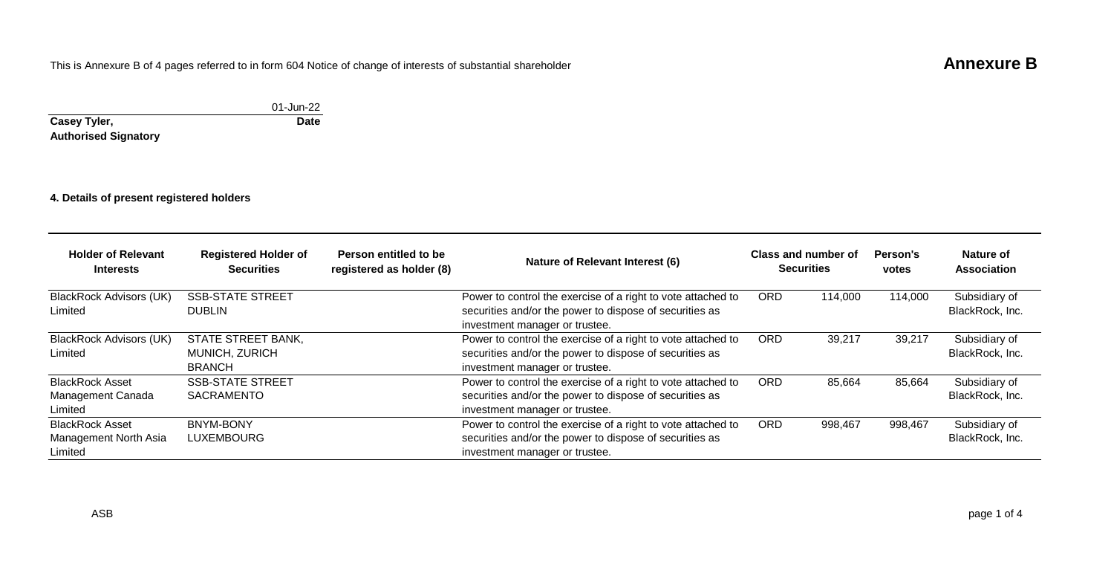# This is Annexure B of 4 pages referred to in form 604 Notice of change of interests of substantial shareholder **Annexure B**

#### 01-Jun-22 **Casey Tyler, Authorised Signatory Date**

**4. Details of present registered holders**

| <b>Holder of Relevant</b><br><b>Interests</b>              | <b>Registered Holder of</b><br><b>Securities</b>      | Person entitled to be<br>Nature of Relevant Interest (6)<br>registered as holder (8) |                                                                                                                                                           | Class and number of<br><b>Securities</b> |         | Person's<br>votes | Nature of<br>Association         |
|------------------------------------------------------------|-------------------------------------------------------|--------------------------------------------------------------------------------------|-----------------------------------------------------------------------------------------------------------------------------------------------------------|------------------------------------------|---------|-------------------|----------------------------------|
| BlackRock Advisors (UK)<br>Limited                         | <b>SSB-STATE STREET</b><br><b>DUBLIN</b>              |                                                                                      | Power to control the exercise of a right to vote attached to<br>securities and/or the power to dispose of securities as<br>investment manager or trustee. | <b>ORD</b>                               | 114.000 | 114.000           | Subsidiary of<br>BlackRock, Inc. |
| <b>BlackRock Advisors (UK)</b><br>Limited                  | STATE STREET BANK,<br>MUNICH, ZURICH<br><b>BRANCH</b> |                                                                                      | Power to control the exercise of a right to vote attached to<br>securities and/or the power to dispose of securities as<br>investment manager or trustee. | <b>ORD</b>                               | 39,217  | 39,217            | Subsidiary of<br>BlackRock, Inc. |
| <b>BlackRock Asset</b><br>Management Canada<br>Limited     | <b>SSB-STATE STREET</b><br><b>SACRAMENTO</b>          |                                                                                      | Power to control the exercise of a right to vote attached to<br>securities and/or the power to dispose of securities as<br>investment manager or trustee. | <b>ORD</b>                               | 85,664  | 85,664            | Subsidiary of<br>BlackRock, Inc. |
| <b>BlackRock Asset</b><br>Management North Asia<br>Limited | <b>BNYM-BONY</b><br><b>LUXEMBOURG</b>                 |                                                                                      | Power to control the exercise of a right to vote attached to<br>securities and/or the power to dispose of securities as<br>investment manager or trustee. | <b>ORD</b>                               | 998,467 | 998,467           | Subsidiary of<br>BlackRock, Inc. |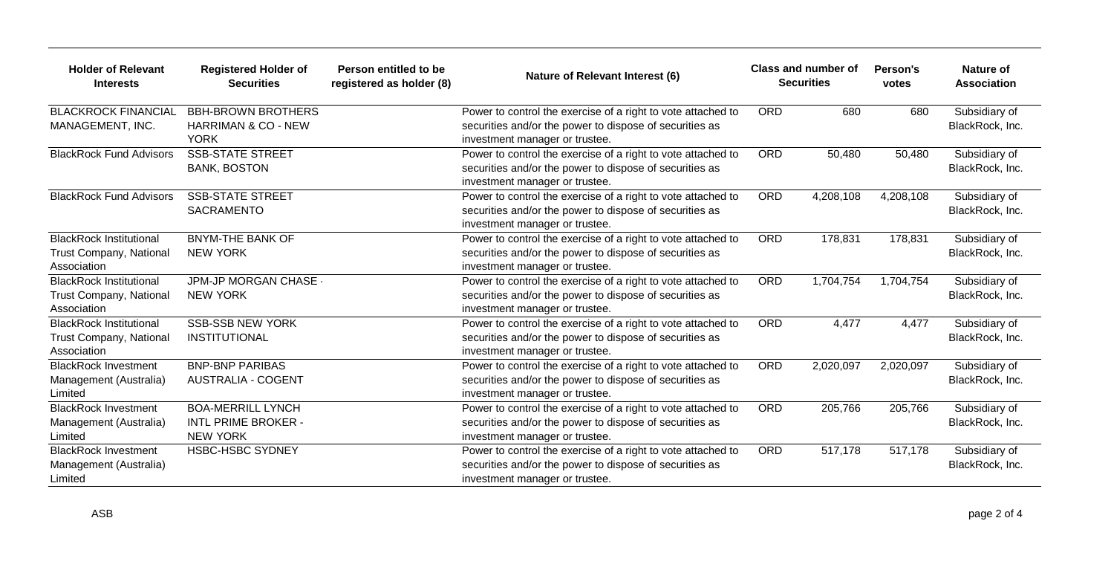| <b>Holder of Relevant</b><br><b>Interests</b>                            | <b>Registered Holder of</b><br><b>Securities</b>                           | Class and number of<br>Person entitled to be<br>Nature of Relevant Interest (6)<br><b>Securities</b><br>registered as holder (8) |                                                                                                                                                           | Person's<br>votes | Nature of<br>Association |           |                                  |
|--------------------------------------------------------------------------|----------------------------------------------------------------------------|----------------------------------------------------------------------------------------------------------------------------------|-----------------------------------------------------------------------------------------------------------------------------------------------------------|-------------------|--------------------------|-----------|----------------------------------|
| <b>BLACKROCK FINANCIAL</b><br>MANAGEMENT, INC.                           | <b>BBH-BROWN BROTHERS</b><br><b>HARRIMAN &amp; CO - NEW</b><br><b>YORK</b> |                                                                                                                                  | Power to control the exercise of a right to vote attached to<br>securities and/or the power to dispose of securities as<br>investment manager or trustee. | <b>ORD</b>        | 680                      | 680       | Subsidiary of<br>BlackRock, Inc. |
| <b>BlackRock Fund Advisors</b>                                           | <b>SSB-STATE STREET</b><br><b>BANK, BOSTON</b>                             |                                                                                                                                  | Power to control the exercise of a right to vote attached to<br>securities and/or the power to dispose of securities as<br>investment manager or trustee. | <b>ORD</b>        | 50,480                   | 50,480    | Subsidiary of<br>BlackRock, Inc. |
| <b>BlackRock Fund Advisors</b>                                           | <b>SSB-STATE STREET</b><br><b>SACRAMENTO</b>                               |                                                                                                                                  | Power to control the exercise of a right to vote attached to<br>securities and/or the power to dispose of securities as<br>investment manager or trustee. | <b>ORD</b>        | 4,208,108                | 4,208,108 | Subsidiary of<br>BlackRock, Inc. |
| <b>BlackRock Institutional</b><br>Trust Company, National<br>Association | <b>BNYM-THE BANK OF</b><br><b>NEW YORK</b>                                 |                                                                                                                                  | Power to control the exercise of a right to vote attached to<br>securities and/or the power to dispose of securities as<br>investment manager or trustee. | <b>ORD</b>        | 178,831                  | 178,831   | Subsidiary of<br>BlackRock, Inc. |
| <b>BlackRock Institutional</b><br>Trust Company, National<br>Association | JPM-JP MORGAN CHASE -<br><b>NEW YORK</b>                                   |                                                                                                                                  | Power to control the exercise of a right to vote attached to<br>securities and/or the power to dispose of securities as<br>investment manager or trustee. | <b>ORD</b>        | 1,704,754                | 1,704,754 | Subsidiary of<br>BlackRock, Inc. |
| <b>BlackRock Institutional</b><br>Trust Company, National<br>Association | <b>SSB-SSB NEW YORK</b><br><b>INSTITUTIONAL</b>                            |                                                                                                                                  | Power to control the exercise of a right to vote attached to<br>securities and/or the power to dispose of securities as<br>investment manager or trustee. | <b>ORD</b>        | 4.477                    | 4.477     | Subsidiary of<br>BlackRock, Inc. |
| <b>BlackRock Investment</b><br>Management (Australia)<br>Limited         | <b>BNP-BNP PARIBAS</b><br><b>AUSTRALIA - COGENT</b>                        |                                                                                                                                  | Power to control the exercise of a right to vote attached to<br>securities and/or the power to dispose of securities as<br>investment manager or trustee. | <b>ORD</b>        | 2,020,097                | 2,020,097 | Subsidiary of<br>BlackRock, Inc. |
| <b>BlackRock Investment</b><br>Management (Australia)<br>Limited         | <b>BOA-MERRILL LYNCH</b><br>INTL PRIME BROKER -<br><b>NEW YORK</b>         |                                                                                                                                  | Power to control the exercise of a right to vote attached to<br>securities and/or the power to dispose of securities as<br>investment manager or trustee. | <b>ORD</b>        | 205.766                  | 205,766   | Subsidiary of<br>BlackRock, Inc. |
| <b>BlackRock Investment</b><br>Management (Australia)<br>Limited         | <b>HSBC-HSBC SYDNEY</b>                                                    |                                                                                                                                  | Power to control the exercise of a right to vote attached to<br>securities and/or the power to dispose of securities as<br>investment manager or trustee. | <b>ORD</b>        | 517,178                  | 517,178   | Subsidiary of<br>BlackRock, Inc. |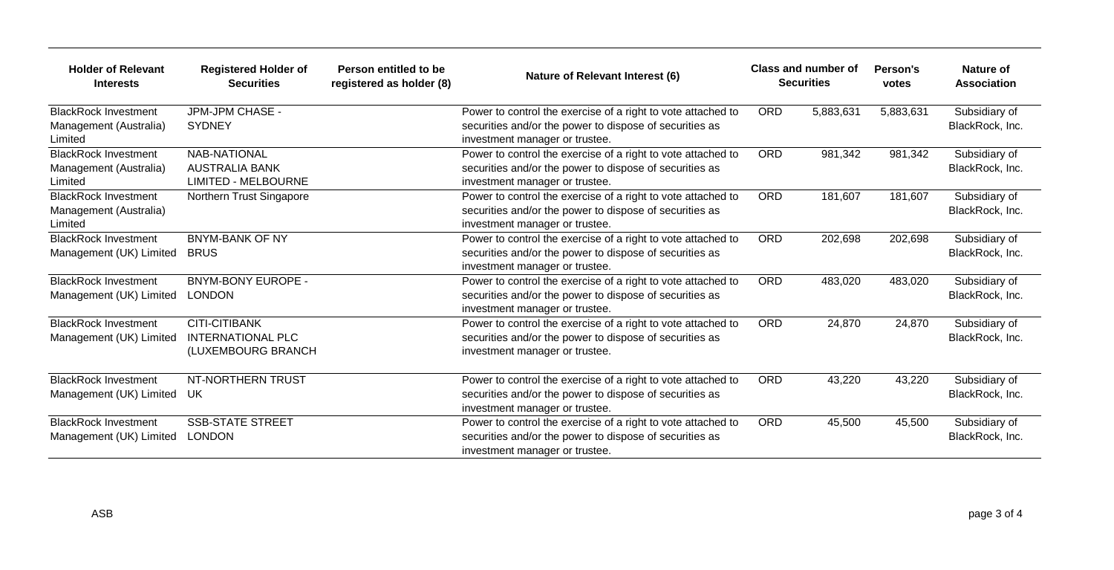| <b>Holder of Relevant</b><br><b>Interests</b>                    | <b>Registered Holder of</b><br><b>Securities</b>                           | Person entitled to be<br>registered as holder (8) | Nature of Relevant Interest (6)                                                                                                                           |            | Class and number of<br><b>Securities</b> | Person's<br>votes | Nature of<br><b>Association</b>  |
|------------------------------------------------------------------|----------------------------------------------------------------------------|---------------------------------------------------|-----------------------------------------------------------------------------------------------------------------------------------------------------------|------------|------------------------------------------|-------------------|----------------------------------|
| <b>BlackRock Investment</b><br>Management (Australia)<br>Limited | JPM-JPM CHASE -<br><b>SYDNEY</b>                                           |                                                   | Power to control the exercise of a right to vote attached to<br>securities and/or the power to dispose of securities as<br>investment manager or trustee. | <b>ORD</b> | 5,883,631                                | 5,883,631         | Subsidiary of<br>BlackRock, Inc. |
| <b>BlackRock Investment</b><br>Management (Australia)<br>Limited | <b>NAB-NATIONAL</b><br><b>AUSTRALIA BANK</b><br><b>LIMITED - MELBOURNE</b> |                                                   | Power to control the exercise of a right to vote attached to<br>securities and/or the power to dispose of securities as<br>investment manager or trustee. | <b>ORD</b> | 981.342                                  | 981,342           | Subsidiary of<br>BlackRock, Inc. |
| <b>BlackRock Investment</b><br>Management (Australia)<br>Limited | Northern Trust Singapore                                                   |                                                   | Power to control the exercise of a right to vote attached to<br>securities and/or the power to dispose of securities as<br>investment manager or trustee. | <b>ORD</b> | 181,607                                  | 181,607           | Subsidiary of<br>BlackRock, Inc. |
| <b>BlackRock Investment</b><br>Management (UK) Limited           | <b>BNYM-BANK OF NY</b><br><b>BRUS</b>                                      |                                                   | Power to control the exercise of a right to vote attached to<br>securities and/or the power to dispose of securities as<br>investment manager or trustee. | <b>ORD</b> | 202,698                                  | 202,698           | Subsidiary of<br>BlackRock, Inc. |
| <b>BlackRock Investment</b><br>Management (UK) Limited           | <b>BNYM-BONY EUROPE -</b><br><b>LONDON</b>                                 |                                                   | Power to control the exercise of a right to vote attached to<br>securities and/or the power to dispose of securities as<br>investment manager or trustee. | <b>ORD</b> | 483.020                                  | 483,020           | Subsidiary of<br>BlackRock, Inc. |
| <b>BlackRock Investment</b><br>Management (UK) Limited           | <b>CITI-CITIBANK</b><br><b>INTERNATIONAL PLC</b><br>(LUXEMBOURG BRANCH     |                                                   | Power to control the exercise of a right to vote attached to<br>securities and/or the power to dispose of securities as<br>investment manager or trustee. | <b>ORD</b> | 24,870                                   | 24,870            | Subsidiary of<br>BlackRock, Inc. |
| <b>BlackRock Investment</b><br>Management (UK) Limited           | NT-NORTHERN TRUST<br>UK.                                                   |                                                   | Power to control the exercise of a right to vote attached to<br>securities and/or the power to dispose of securities as<br>investment manager or trustee. | <b>ORD</b> | 43,220                                   | 43,220            | Subsidiary of<br>BlackRock, Inc. |
| <b>BlackRock Investment</b><br>Management (UK) Limited           | <b>SSB-STATE STREET</b><br><b>LONDON</b>                                   |                                                   | Power to control the exercise of a right to vote attached to<br>securities and/or the power to dispose of securities as<br>investment manager or trustee. | <b>ORD</b> | 45.500                                   | 45,500            | Subsidiary of<br>BlackRock, Inc. |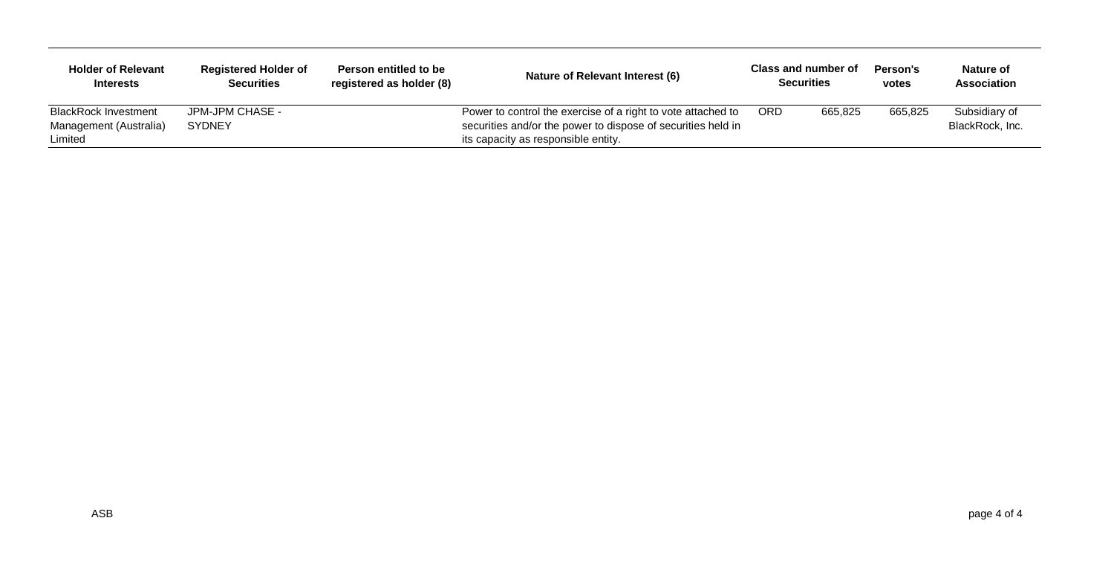| <b>Holder of Relevant</b><br><b>Interests</b>                    | <b>Registered Holder of</b><br><b>Securities</b> | Person entitled to be<br>registered as holder (8) | Nature of Relevant Interest (6)                                                                                                                                     |     | <b>Class and number of</b><br><b>Securities</b> | Person's<br>votes | Nature of<br>Association         |
|------------------------------------------------------------------|--------------------------------------------------|---------------------------------------------------|---------------------------------------------------------------------------------------------------------------------------------------------------------------------|-----|-------------------------------------------------|-------------------|----------------------------------|
| <b>BlackRock Investment</b><br>Management (Australia)<br>Limited | JPM-JPM CHASE -<br>SYDNEY                        |                                                   | Power to control the exercise of a right to vote attached to<br>securities and/or the power to dispose of securities held in<br>its capacity as responsible entity. | ORD | 665,825                                         | 665,825           | Subsidiary of<br>BlackRock, Inc. |